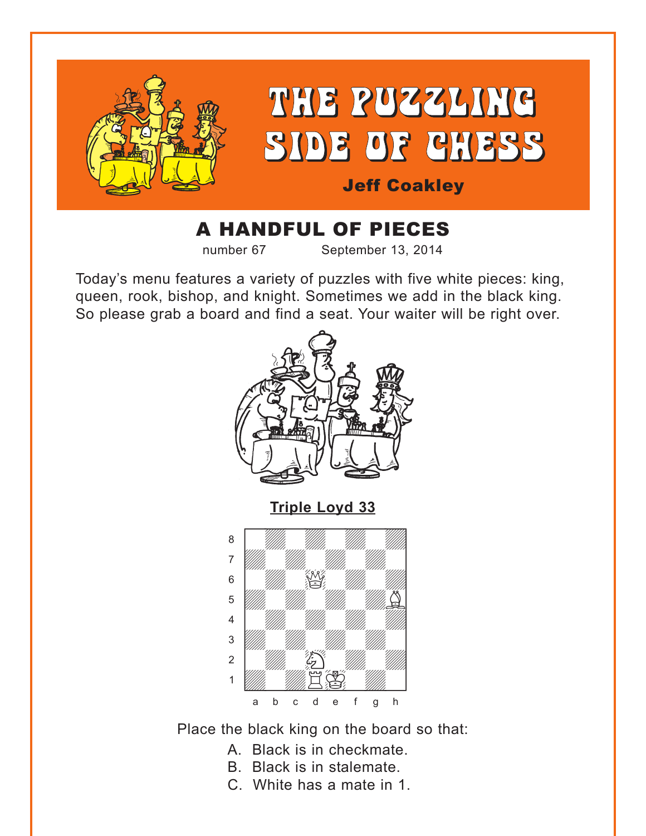<span id="page-0-0"></span>

## A HANDFUL OF PIECES

number 67 September 13, 2014

Today's menu features a variety of puzzles with five white pieces: king, queen, rook, bishop, and knight. Sometimes we add in the black king. So please grab a board and find a seat. Your waiter will be right over.





Place the black king on the board so that:

- A. Black is in checkmate.
- B. Black is in stalemate.
- C. White has a mate in 1.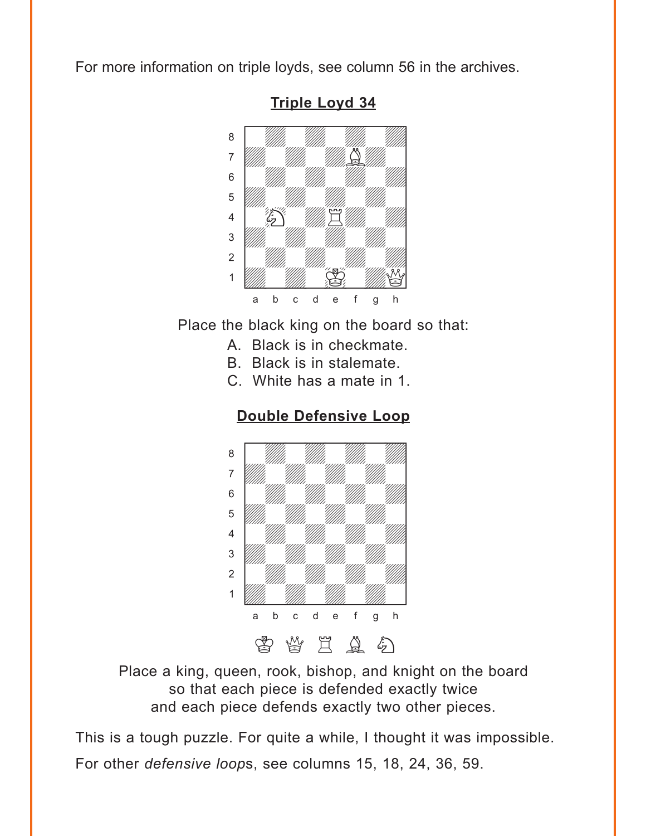<span id="page-1-0"></span>For more information on triple loyds, see column 56 in the archives.



**[Triple Loyd 34](#page-4-0)**

Place the black king on the board so that:

- A. Black is in checkmate.
- B. Black is in stalemate.
- C. White has a mate in 1.





Place a king, queen, rook, bishop, and knight on the board so that each piece is defended exactly twice and each piece defends exactly two other pieces.

This is a tough puzzle. For quite a while, I thought it was impossible. For other *defensive loop*s, see columns 15, 18, 24, 36, 59.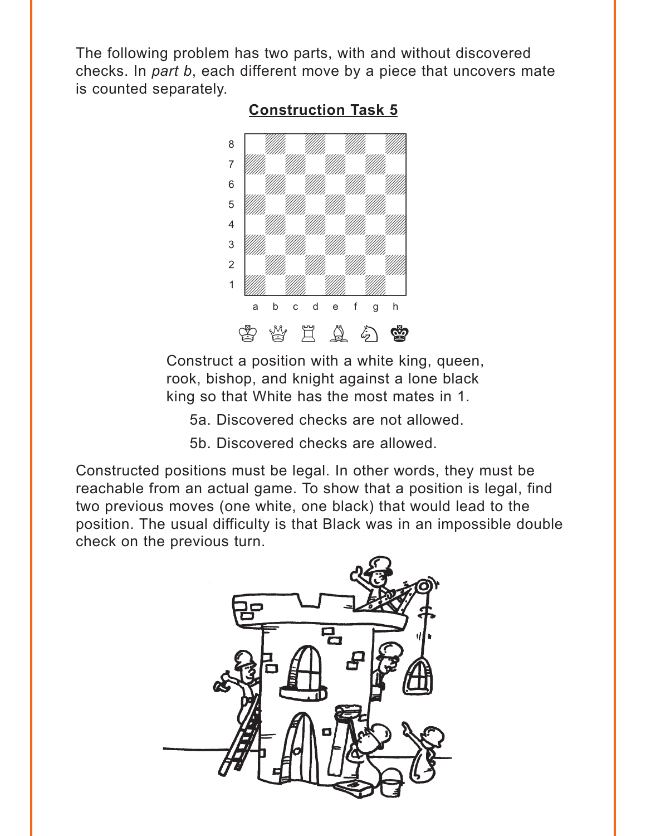<span id="page-2-0"></span>The following problem has two parts, with and without discovered checks. In *part b*, each different move by a piece that uncovers mate is counted separately.



#### **[Construction Task 5](#page-5-0)**

Construct a position with a white king, queen, rook, bishop, and knight against a lone black king so that White has the most mates in 1.

5a. Discovered checks are not allowed.

5b. Discovered checks are allowed.

Constructed positions must be legal. In other words, they must be reachable from an actual game. To show that a position is legal, find two previous moves (one white, one black) that would lead to the position. The usual difficulty is that Black was in an impossible double check on the previous turn.

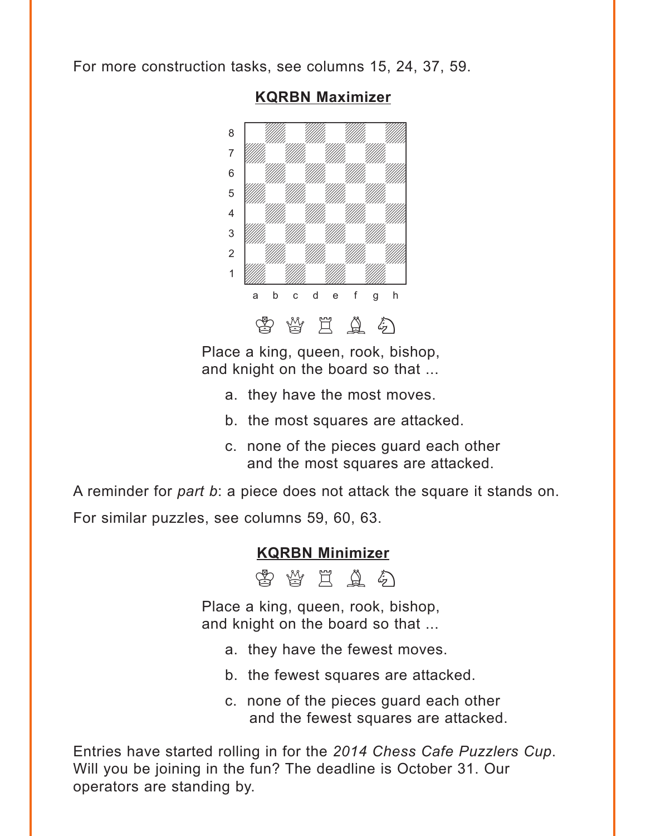<span id="page-3-0"></span>For more construction tasks, see columns 15, 24, 37, 59.



#### **[KQRBN Maximizer](#page-6-0)**

Place a king, queen, rook, bishop, and knight on the board so that ...

- a. they have the most moves.
- b. the most squares are attacked.
- c. none of the pieces guard each other and the most squares are attacked.

A reminder for *part b*: a piece does not attack the square it stands on.

For similar puzzles, see columns 59, 60, 63.

#### **[KQRBN Minimizer](#page-9-0)**

由当日出口

Place a king, queen, rook, bishop, and knight on the board so that ...

- a. they have the fewest moves.
- b. the fewest squares are attacked.
- c. none of the pieces guard each other and the fewest squares are attacked.

Entries have started rolling in for the *2014 Chess Cafe Puzzlers Cup*. Will you be joining in the fun? The deadline is October 31. Our operators are standing by.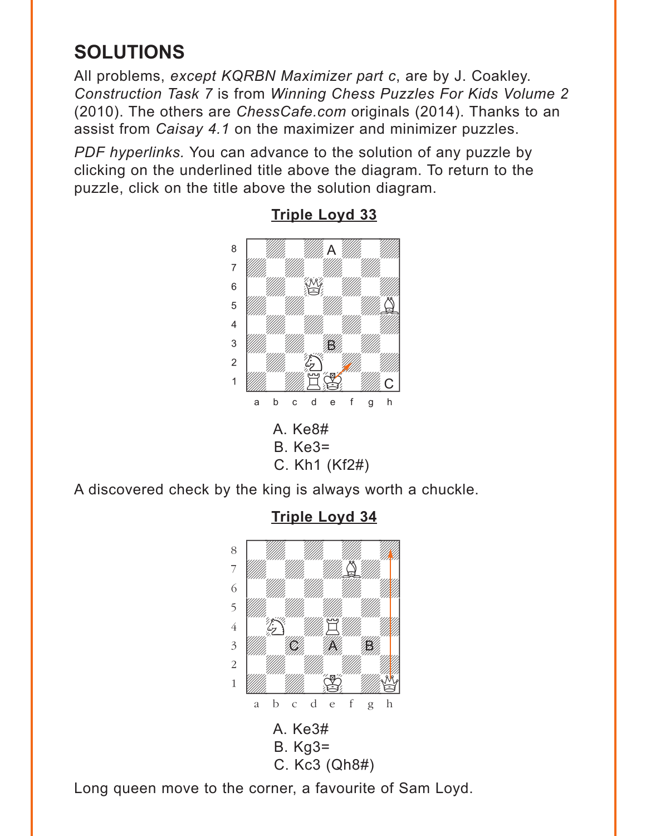# <span id="page-4-0"></span>**SOLUTIONS**

All problems, *except KQRBN Maximizer part c*, are by J. Coakley. *Construction Task 7* is from *Winning Chess Puzzles For Kids Volume 2* (2010). The others are *ChessCafe.com* originals (2014). Thanks to an assist from *Caisay 4.1* on the maximizer and minimizer puzzles.

*PDF hyperlinks.* You can advance to the solution of any puzzle by clicking on the underlined title above the diagram. To return to the puzzle, click on the title above the solution diagram.



#### **[Triple Loyd 33](#page-0-0)**

A discovered check by the king is always worth a chuckle.



**[Triple Loyd 34](#page-1-0)**

Long queen move to the corner, a favourite of Sam Loyd.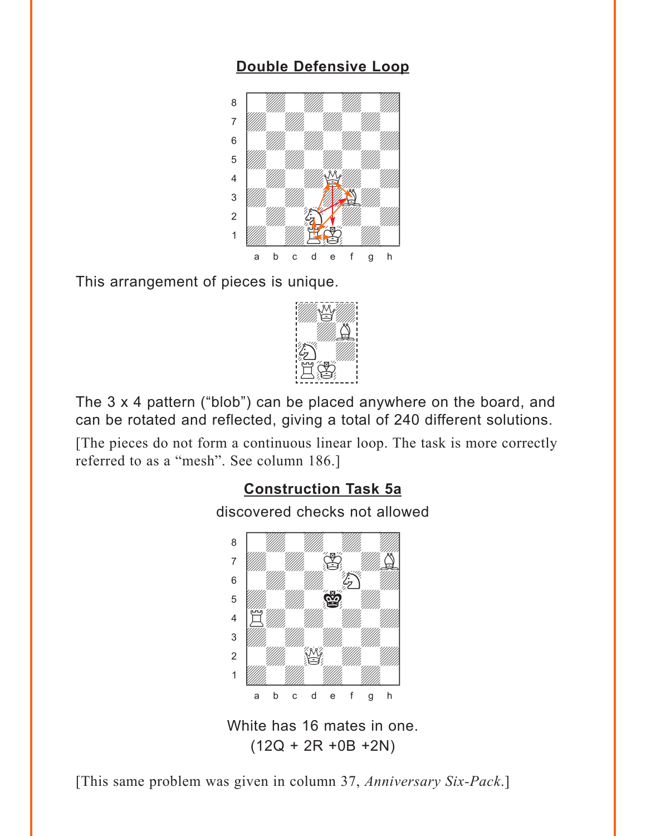#### **[Double Defensive Loop](#page-1-0)**

<span id="page-5-0"></span>

This arrangement of pieces is unique.



The 3 x 4 pattern ("blob") can be placed anywhere on the board, and can be rotated and reflected, giving a total of 240 different solutions.

[The pieces do not form a continuous linear loop. The task is more correctly referred to as a "mesh". See column 186.]

#### **[Construction Task 5a](#page-2-0)**

discovered checks not allowed



White has 16 mates in one.  $(12Q + 2R + 0B + 2N)$ 

[This same problem was given in column 37, *Anniversary Six-Pack*.]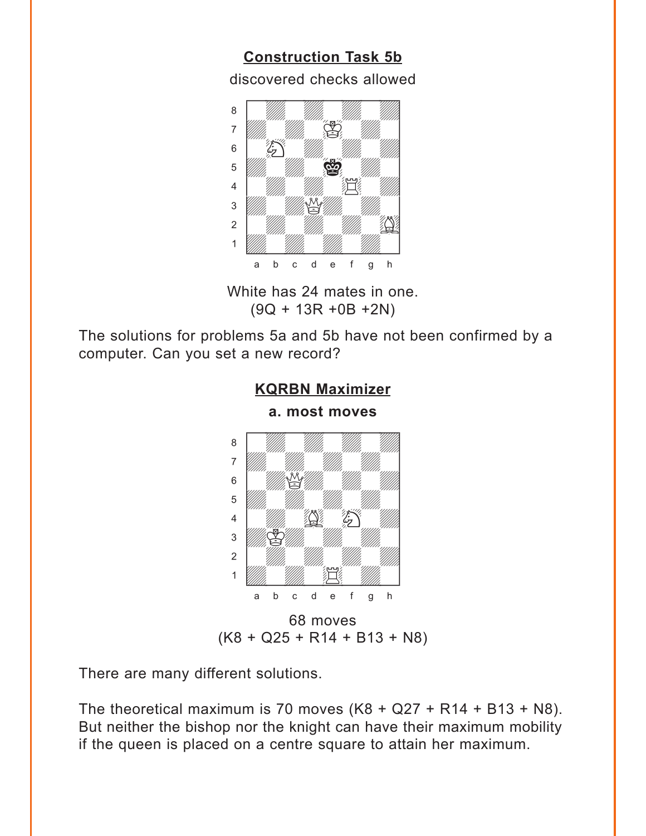<span id="page-6-0"></span>**[Construction Task 5b](#page-2-0)** discovered checks allowed



White has 24 mates in one. (9Q + 13R +0B +2N)

The solutions for problems 5a and 5b have not been confirmed by a computer. Can you set a new record?

**[KQRBN Maximizer](#page-3-0)**



There are many different solutions.

The theoretical maximum is 70 moves  $(K8 + Q27 + R14 + B13 + N8)$ . But neither the bishop nor the knight can have their maximum mobility if the queen is placed on a centre square to attain her maximum.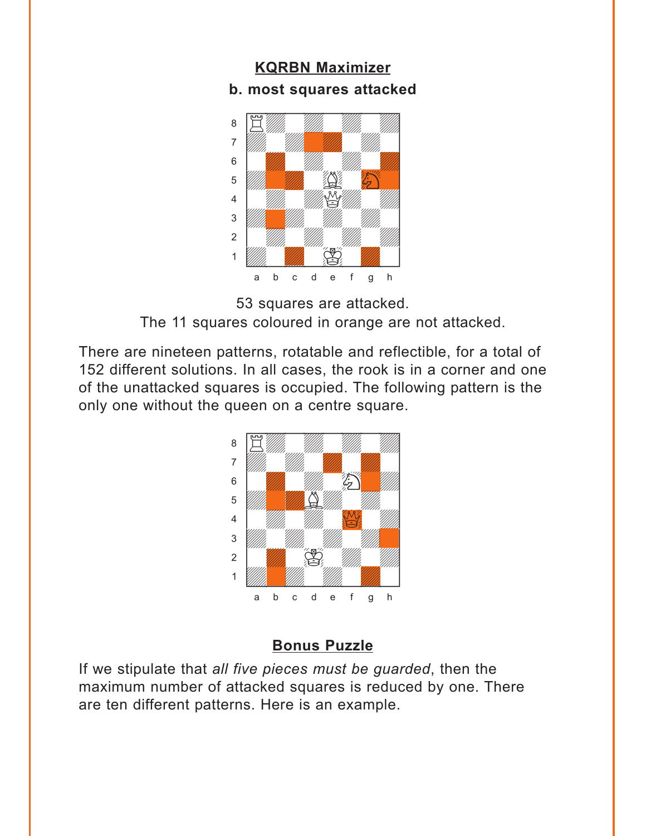#### <span id="page-7-0"></span>**KQRBN Maximizer [b. most squares attacked](#page-3-0)**





There are nineteen patterns, rotatable and reflectible, for a total of 152 different solutions. In all cases, the rook is in a corner and one of the unattacked squares is occupied. The following pattern is the only one without the queen on a centre square.



#### **[Bonus Puzzle](#page-8-0)**

If we stipulate that *all five pieces must be guarded*, then the maximum number of attacked squares is reduced by one. There are ten different patterns. Here is an example.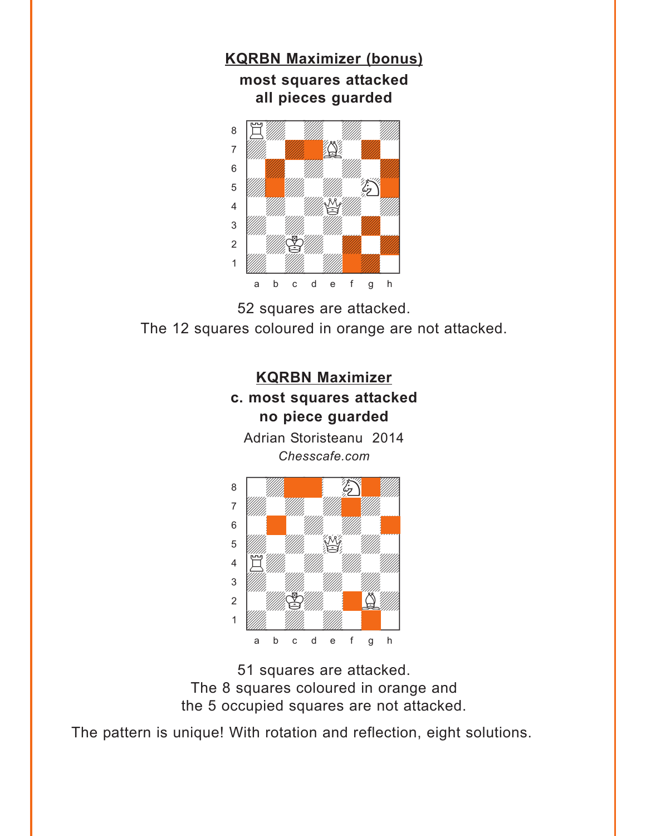<span id="page-8-0"></span>

52 squares are attacked. The 12 squares coloured in orange are not attacked.



51 squares are attacked. The 8 squares coloured in orange and the 5 occupied squares are not attacked.

The pattern is unique! With rotation and reflection, eight solutions.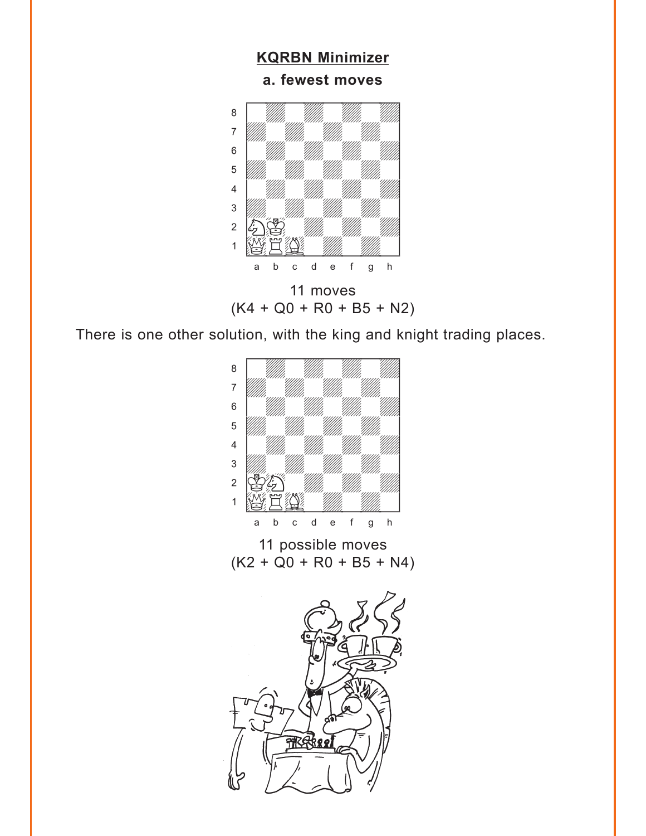<span id="page-9-0"></span>

 $(K4 + Q0 + R0 + B5 + N2)$ 

There is one other solution, with the king and knight trading places.



11 possible moves  $(K2 + Q0 + R0 + B5 + N4)$